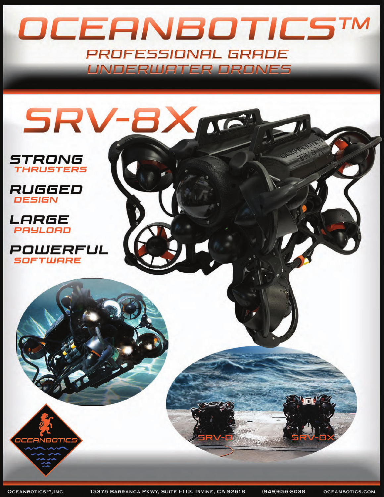## OCEANBOTICSTM PROFESSIONAL GRADE UNDERWATER DRONES